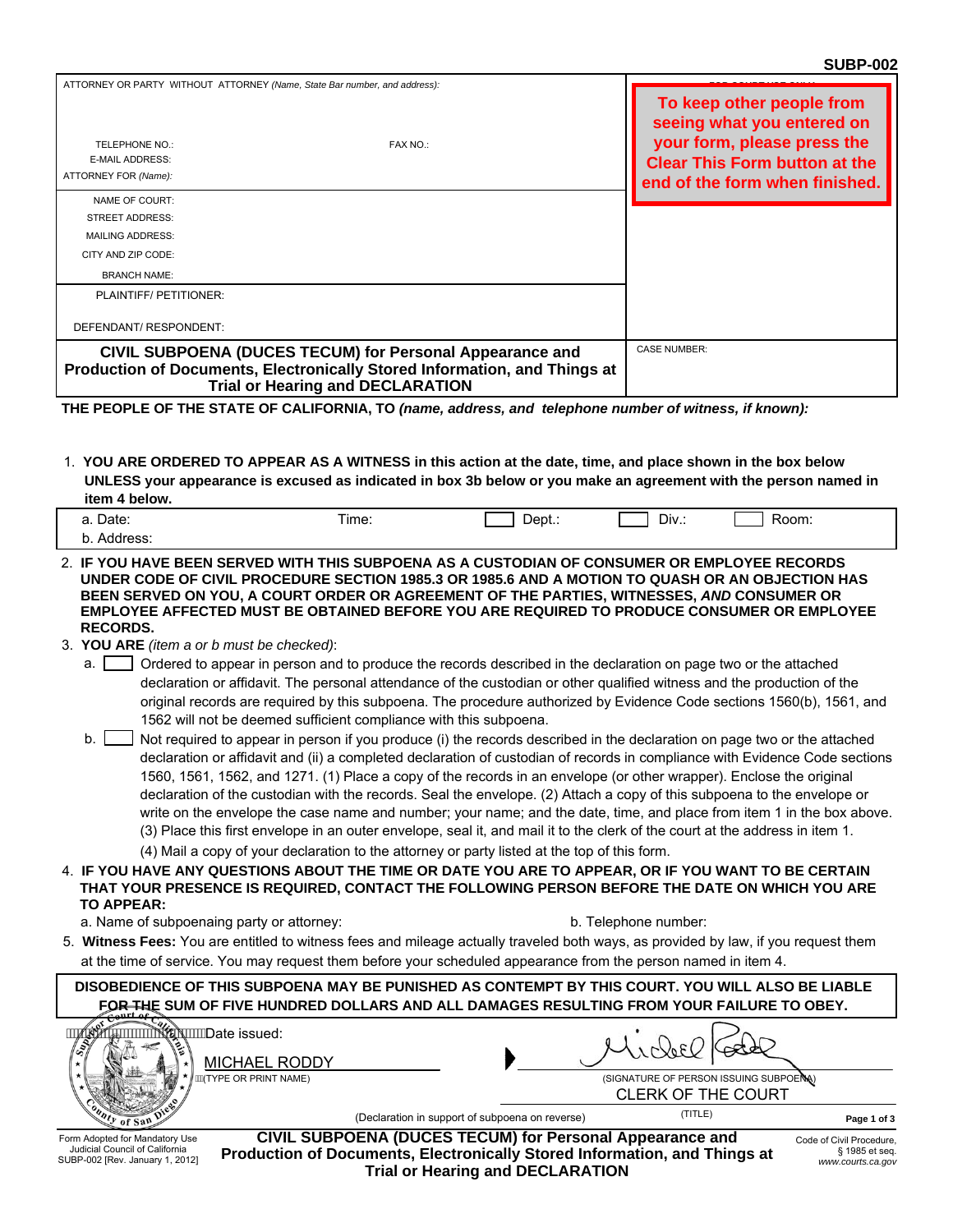| ATTORNEY OR PARTY WITHOUT ATTORNEY (Name, State Bar number, and address):                                                             |                                         |           |                                                                                                                  |
|---------------------------------------------------------------------------------------------------------------------------------------|-----------------------------------------|-----------|------------------------------------------------------------------------------------------------------------------|
| <b>TELEPHONE NO.:</b>                                                                                                                 | FAX NO.:                                |           | To keep other people from<br>seeing what you entered on<br>your form, please press the                           |
| <b>E-MAIL ADDRESS:</b>                                                                                                                |                                         |           | <b>Clear This Form button at the</b>                                                                             |
| ATTORNEY FOR (Name):                                                                                                                  |                                         |           | end of the form when finished.                                                                                   |
| NAME OF COURT:                                                                                                                        |                                         |           |                                                                                                                  |
| <b>STREET ADDRESS:</b>                                                                                                                |                                         |           |                                                                                                                  |
| <b>MAILING ADDRESS:</b>                                                                                                               |                                         |           |                                                                                                                  |
| CITY AND ZIP CODE:                                                                                                                    |                                         |           |                                                                                                                  |
| <b>BRANCH NAME:</b>                                                                                                                   |                                         |           |                                                                                                                  |
| PLAINTIFF/ PETITIONER:                                                                                                                |                                         |           |                                                                                                                  |
| DEFENDANT/ RESPONDENT:                                                                                                                |                                         |           |                                                                                                                  |
| CIVIL SUBPOENA (DUCES TECUM) for Personal Appearance and<br>Production of Documents, Electronically Stored Information, and Things at | <b>Trial or Hearing and DECLARATION</b> |           | <b>CASE NUMBER:</b>                                                                                              |
| THE PEOPLE OF THE STATE OF CALIFORNIA, TO (name, address, and telephone number of witness, if known):                                 |                                         |           |                                                                                                                  |
| 1. YOU ARE ORDERED TO APPEAR AS A WITNESS in this action at the date, time, and place shown in the box below                          |                                         |           |                                                                                                                  |
|                                                                                                                                       |                                         |           | UNLESS your appearance is excused as indicated in box 3b below or you make an agreement with the person named in |
| item 4 below.                                                                                                                         |                                         |           |                                                                                                                  |
| a. Date:                                                                                                                              | Time:                                   | $Dept.$ : | Room:<br>Div.:                                                                                                   |
| b. Address:                                                                                                                           |                                         |           |                                                                                                                  |
| 2. IF YOU HAVE BEEN SERVED WITH THIS SUBPOENA AS A CUSTODIAN OF CONSUMER OR EMPLOYEE RECORDS                                          |                                         |           |                                                                                                                  |

**UNDER CODE OF CIVIL PROCEDURE SECTION 1985.3 OR 1985.6 AND A MOTION TO QUASH OR AN OBJECTION HAS BEEN SERVED ON YOU, A COURT ORDER OR AGREEMENT OF THE PARTIES, WITNESSES,** *AND* **CONSUMER OR EMPLOYEE AFFECTED MUST BE OBTAINED BEFORE YOU ARE REQUIRED TO PRODUCE CONSUMER OR EMPLOYEE RECORDS.**

- 3. **YOU ARE** *(item a or b must be checked)*:
	- a.  $\Box$  Ordered to appear in person and to produce the records described in the declaration on page two or the attached declaration or affidavit. The personal attendance of the custodian or other qualified witness and the production of the original records are required by this subpoena. The procedure authorized by Evidence Code sections 1560(b), 1561, and 1562 will not be deemed sufficient compliance with this subpoena.
	- Not required to appear in person if you produce (i) the records described in the declaration on page two or the attached declaration or affidavit and (ii) a completed declaration of custodian of records in compliance with Evidence Code sections 1560, 1561, 1562, and 1271. (1) Place a copy of the records in an envelope (or other wrapper). Enclose the original declaration of the custodian with the records. Seal the envelope. (2) Attach a copy of this subpoena to the envelope or write on the envelope the case name and number; your name; and the date, time, and place from item 1 in the box above. (3) Place this first envelope in an outer envelope, seal it, and mail it to the clerk of the court at the address in item 1.  $b.$ 
		- (4) Mail a copy of your declaration to the attorney or party listed at the top of this form.
- 4. **IF YOU HAVE ANY QUESTIONS ABOUT THE TIME OR DATE YOU ARE TO APPEAR, OR IF YOU WANT TO BE CERTAIN THAT YOUR PRESENCE IS REQUIRED, CONTACT THE FOLLOWING PERSON BEFORE THE DATE ON WHICH YOU ARE TO APPEAR:**
	- a. Name of subpoenaing party or attorney: b. Telephone number:

5. **Witness Fees:** You are entitled to witness fees and mileage actually traveled both ways, as provided by law, if you request them at the time of service. You may request them before your scheduled appearance from the person named in item 4.

**DISOBEDIENCE OF THIS SUBPOENA MAY BE PUNISHED AS CONTEMPT BY THIS COURT. YOU WILL ALSO BE LIABLE FOR THE SUM OF FIVE HUNDRED DOLLARS AND ALL DAMAGES RESULTING FROM YOUR FAILURE TO OBEY.**

| اچي<br>⊮⇔<br><b>MICHAEL RODDY</b>                                |                                                          |                                                                     |                                             |
|------------------------------------------------------------------|----------------------------------------------------------|---------------------------------------------------------------------|---------------------------------------------|
| ∦ÄÄÄ∖TYPE OR PRINT NAME)                                         |                                                          | (SIGNATURE OF PERSON ISSUING SUBPOENA)<br><b>CLERK OF THE COURT</b> |                                             |
| of San                                                           | (Declaration in support of subpoena on reverse)          | (TITLE)                                                             | Page 1 of 3                                 |
| Form Adopted for Mandatory Use<br>Iudicial Council of California | CIVIL SUBPOENA (DUCES TECUM) for Personal Appearance and |                                                                     | Code of Civil Procedure,<br>$0.4005 - 1.22$ |

Judicial Council of California SUBP-002 [Rev. January 1, 2012]

**Production of Documents, Electronically Stored Information, and Things at Trial or Hearing and DECLARATION**

§ 1985 et seq. *www.courts.ca.gov*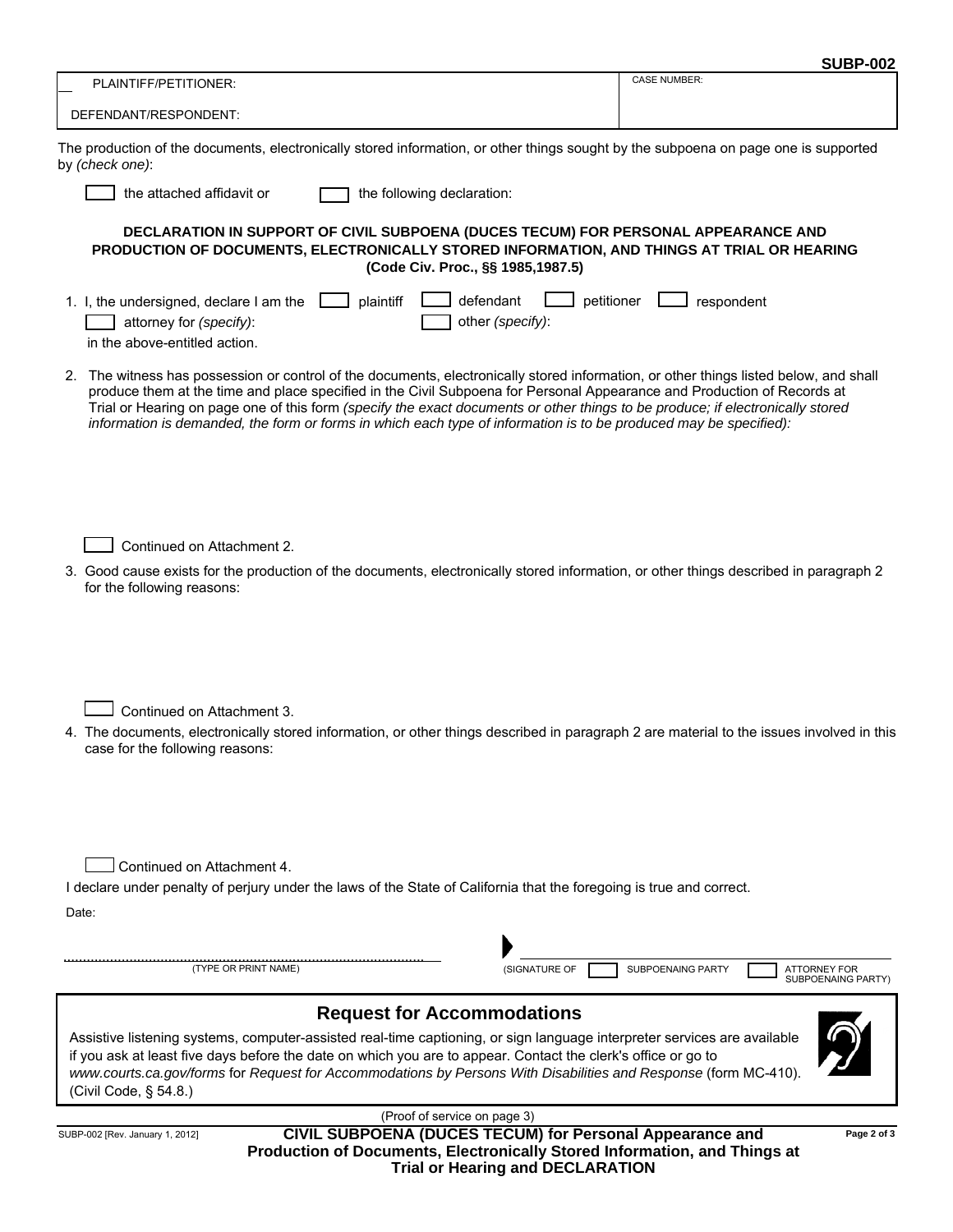| <b>SUBP-002</b> |
|-----------------|
|-----------------|

| PLAINTIFF/PETITIONER:                                                                                                                                                            |                                                                                                                                                                                                                                                                                                                                                                                                                                                                                                                         | <b>CASE NUMBER:</b>                             |  |
|----------------------------------------------------------------------------------------------------------------------------------------------------------------------------------|-------------------------------------------------------------------------------------------------------------------------------------------------------------------------------------------------------------------------------------------------------------------------------------------------------------------------------------------------------------------------------------------------------------------------------------------------------------------------------------------------------------------------|-------------------------------------------------|--|
| DEFENDANT/RESPONDENT:                                                                                                                                                            |                                                                                                                                                                                                                                                                                                                                                                                                                                                                                                                         |                                                 |  |
| by (check one):                                                                                                                                                                  | The production of the documents, electronically stored information, or other things sought by the subpoena on page one is supported                                                                                                                                                                                                                                                                                                                                                                                     |                                                 |  |
| the attached affidavit or                                                                                                                                                        | the following declaration:                                                                                                                                                                                                                                                                                                                                                                                                                                                                                              |                                                 |  |
|                                                                                                                                                                                  | DECLARATION IN SUPPORT OF CIVIL SUBPOENA (DUCES TECUM) FOR PERSONAL APPEARANCE AND<br>PRODUCTION OF DOCUMENTS, ELECTRONICALLY STORED INFORMATION, AND THINGS AT TRIAL OR HEARING<br>(Code Civ. Proc., §§ 1985,1987.5)                                                                                                                                                                                                                                                                                                   |                                                 |  |
| 1. I, the undersigned, declare I am the<br>attorney for (specify):<br>in the above-entitled action.                                                                              | plaintiff<br>defendant<br>petitioner<br>other (specify):                                                                                                                                                                                                                                                                                                                                                                                                                                                                | respondent                                      |  |
|                                                                                                                                                                                  | 2. The witness has possession or control of the documents, electronically stored information, or other things listed below, and shall<br>produce them at the time and place specified in the Civil Subpoena for Personal Appearance and Production of Records at<br>Trial or Hearing on page one of this form (specify the exact documents or other things to be produce; if electronically stored<br>information is demanded, the form or forms in which each type of information is to be produced may be specified): |                                                 |  |
| Continued on Attachment 2.<br>for the following reasons:                                                                                                                         | 3. Good cause exists for the production of the documents, electronically stored information, or other things described in paragraph 2                                                                                                                                                                                                                                                                                                                                                                                   |                                                 |  |
| Continued on Attachment 3.<br>case for the following reasons:                                                                                                                    | 4. The documents, electronically stored information, or other things described in paragraph 2 are material to the issues involved in this                                                                                                                                                                                                                                                                                                                                                                               |                                                 |  |
| Continued on Attachment 4.<br>Date:<br>(TYPE OR PRINT NAME)                                                                                                                      | I declare under penalty of perjury under the laws of the State of California that the foregoing is true and correct.<br>(SIGNATURE OF                                                                                                                                                                                                                                                                                                                                                                                   | <b>SUBPOENAING PARTY</b><br><b>ATTORNEY FOR</b> |  |
|                                                                                                                                                                                  |                                                                                                                                                                                                                                                                                                                                                                                                                                                                                                                         | <b>SUBPOENAING PARTY)</b>                       |  |
| (Civil Code, § 54.8.)                                                                                                                                                            | <b>Request for Accommodations</b><br>Assistive listening systems, computer-assisted real-time captioning, or sign language interpreter services are available<br>if you ask at least five days before the date on which you are to appear. Contact the clerk's office or go to<br>www.courts.ca.gov/forms for Request for Accommodations by Persons With Disabilities and Response (form MC-410).                                                                                                                       |                                                 |  |
| SUBP-002 [Rev. January 1, 2012]                                                                                                                                                  | (Proof of service on page 3)                                                                                                                                                                                                                                                                                                                                                                                                                                                                                            | Page 2 of 3                                     |  |
| CIVIL SUBPOENA (DUCES TECUM) for Personal Appearance and<br>Production of Documents, Electronically Stored Information, and Things at<br><b>Trial or Hearing and DECLARATION</b> |                                                                                                                                                                                                                                                                                                                                                                                                                                                                                                                         |                                                 |  |